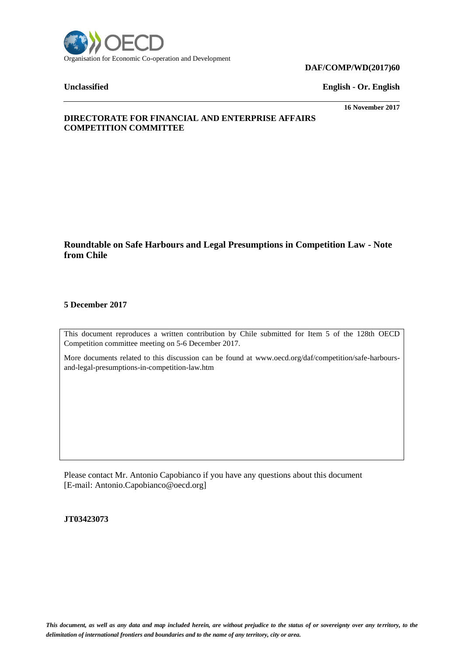

#### **DAF/COMP/WD(2017)60**

**Unclassified English - Or. English**

**16 November 2017**

# **DIRECTORATE FOR FINANCIAL AND ENTERPRISE AFFAIRS COMPETITION COMMITTEE**

# **Roundtable on Safe Harbours and Legal Presumptions in Competition Law - Note from Chile**

### **5 December 2017**

This document reproduces a written contribution by Chile submitted for Item 5 of the 128th OECD Competition committee meeting on 5-6 December 2017.

More documents related to this discussion can be found at www.oecd.org/daf/competition/safe-harboursand-legal-presumptions-in-competition-law.htm

Please contact Mr. Antonio Capobianco if you have any questions about this document [E-mail: Antonio.Capobianco@oecd.org]

**JT03423073**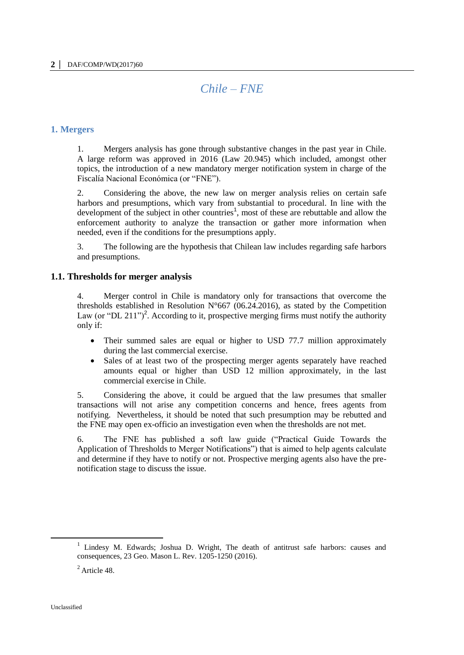# *Chile – FNE*

#### **1. Mergers**

1. Mergers analysis has gone through substantive changes in the past year in Chile. A large reform was approved in 2016 (Law 20.945) which included, amongst other topics, the introduction of a new mandatory merger notification system in charge of the Fiscalía Nacional Económica (or "FNE").

2. Considering the above, the new law on merger analysis relies on certain safe harbors and presumptions, which vary from substantial to procedural. In line with the development of the subject in other countries<sup>1</sup>, most of these are rebuttable and allow the enforcement authority to analyze the transaction or gather more information when needed, even if the conditions for the presumptions apply.

3. The following are the hypothesis that Chilean law includes regarding safe harbors and presumptions.

#### **1.1. Thresholds for merger analysis**

4. Merger control in Chile is mandatory only for transactions that overcome the thresholds established in Resolution  $N^{\circ}667$  (06.24.2016), as stated by the Competition Law (or "DL 211")<sup>2</sup>. According to it, prospective merging firms must notify the authority only if:

- Their summed sales are equal or higher to USD 77.7 million approximately during the last commercial exercise.
- Sales of at least two of the prospecting merger agents separately have reached amounts equal or higher than USD 12 million approximately, in the last commercial exercise in Chile.

5. Considering the above, it could be argued that the law presumes that smaller transactions will not arise any competition concerns and hence, frees agents from notifying. Nevertheless, it should be noted that such presumption may be rebutted and the FNE may open ex-officio an investigation even when the thresholds are not met.

6. The FNE has published a soft law guide ("Practical Guide Towards the Application of Thresholds to Merger Notifications") that is aimed to help agents calculate and determine if they have to notify or not. Prospective merging agents also have the prenotification stage to discuss the issue.

<sup>1</sup> Lindesy M. Edwards; Joshua D. Wright, The death of antitrust safe harbors: causes and consequences, 23 Geo. Mason L. Rev. 1205-1250 (2016).

 $^{2}$  Article 48.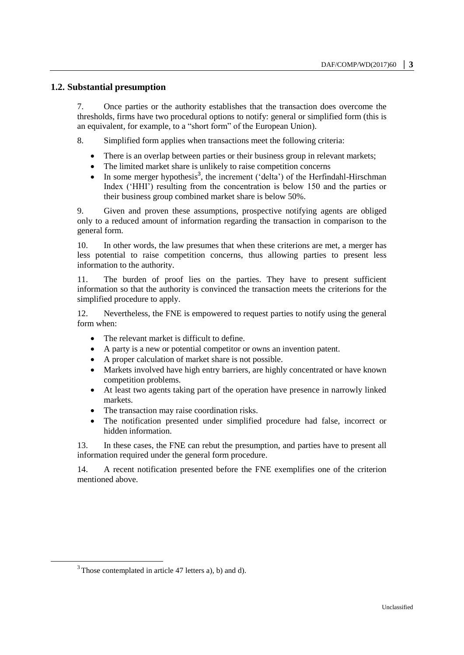#### **1.2. Substantial presumption**

7. Once parties or the authority establishes that the transaction does overcome the thresholds, firms have two procedural options to notify: general or simplified form (this is an equivalent, for example, to a "short form" of the European Union).

8. Simplified form applies when transactions meet the following criteria:

- There is an overlap between parties or their business group in relevant markets;
- The limited market share is unlikely to raise competition concerns
- In some merger hypothesis<sup>3</sup>, the increment ('delta') of the Herfindahl-Hirschman Index ('HHI') resulting from the concentration is below 150 and the parties or their business group combined market share is below 50%.

9. Given and proven these assumptions, prospective notifying agents are obliged only to a reduced amount of information regarding the transaction in comparison to the general form.

10. In other words, the law presumes that when these criterions are met, a merger has less potential to raise competition concerns, thus allowing parties to present less information to the authority.

11. The burden of proof lies on the parties. They have to present sufficient information so that the authority is convinced the transaction meets the criterions for the simplified procedure to apply.

12. Nevertheless, the FNE is empowered to request parties to notify using the general form when:

- The relevant market is difficult to define.
- A party is a new or potential competitor or owns an invention patent.
- A proper calculation of market share is not possible.
- Markets involved have high entry barriers, are highly concentrated or have known competition problems.
- At least two agents taking part of the operation have presence in narrowly linked markets.
- The transaction may raise coordination risks.
- The notification presented under simplified procedure had false, incorrect or hidden information.

13. In these cases, the FNE can rebut the presumption, and parties have to present all information required under the general form procedure.

14. A recent notification presented before the FNE exemplifies one of the criterion mentioned above.

 $\overline{a}$ 

 $3$  Those contemplated in article 47 letters a), b) and d).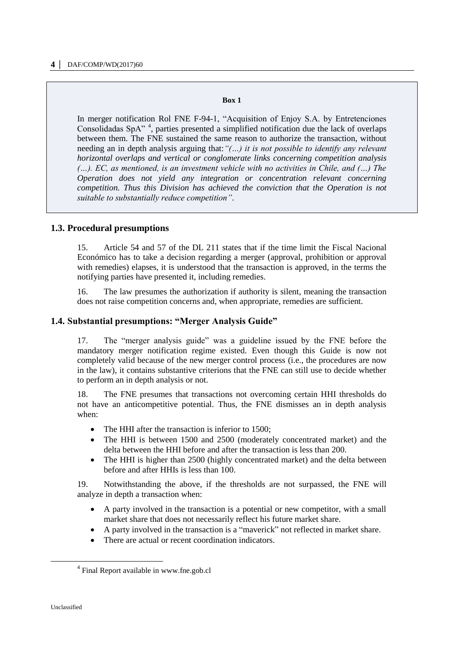#### **Box 1**

In merger notification Rol FNE F-94-1, "Acquisition of Enjoy S.A. by Entretenciones Consolidadas SpA" <sup>4</sup> , parties presented a simplified notification due the lack of overlaps between them. The FNE sustained the same reason to authorize the transaction, without needing an in depth analysis arguing that:*"(…) it is not possible to identify any relevant horizontal overlaps and vertical or conglomerate links concerning competition analysis (…). EC, as mentioned, is an investment vehicle with no activities in Chile, and (…) The Operation does not yield any integration or concentration relevant concerning competition. Thus this Division has achieved the conviction that the Operation is not suitable to substantially reduce competition"*.

#### **1.3. Procedural presumptions**

15. Article 54 and 57 of the DL 211 states that if the time limit the Fiscal Nacional Económico has to take a decision regarding a merger (approval, prohibition or approval with remedies) elapses, it is understood that the transaction is approved, in the terms the notifying parties have presented it, including remedies.

16. The law presumes the authorization if authority is silent, meaning the transaction does not raise competition concerns and, when appropriate, remedies are sufficient.

#### **1.4. Substantial presumptions: "Merger Analysis Guide"**

17. The "merger analysis guide" was a guideline issued by the FNE before the mandatory merger notification regime existed. Even though this Guide is now not completely valid because of the new merger control process (i.e., the procedures are now in the law), it contains substantive criterions that the FNE can still use to decide whether to perform an in depth analysis or not.

18. The FNE presumes that transactions not overcoming certain HHI thresholds do not have an anticompetitive potential. Thus, the FNE dismisses an in depth analysis when:

- The HHI after the transaction is inferior to 1500;
- The HHI is between 1500 and 2500 (moderately concentrated market) and the delta between the HHI before and after the transaction is less than 200.
- The HHI is higher than 2500 (highly concentrated market) and the delta between before and after HHIs is less than 100.

19. Notwithstanding the above, if the thresholds are not surpassed, the FNE will analyze in depth a transaction when:

- A party involved in the transaction is a potential or new competitor, with a small market share that does not necessarily reflect his future market share.
- A party involved in the transaction is a "maverick" not reflected in market share.
- There are actual or recent coordination indicators.

 $\overline{a}$ 

<sup>&</sup>lt;sup>4</sup> Final Report available in [www.fne.gob.cl](http://www.fne.gob.cl/)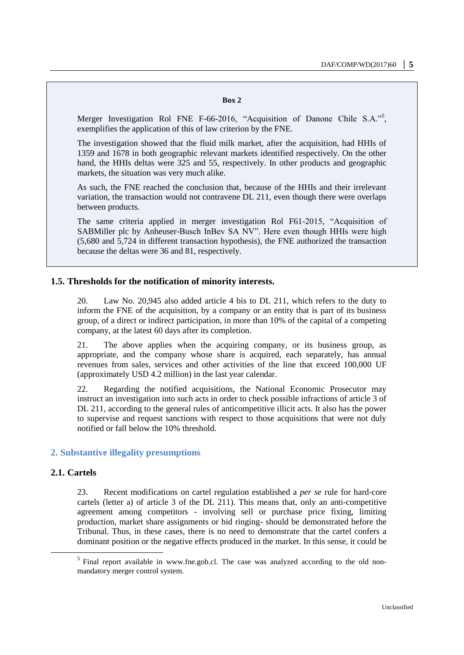#### **Box 2**

Merger Investigation Rol FNE F-66-2016, "Acquisition of Danone Chile S.A."<sup>5</sup>, exemplifies the application of this of law criterion by the FNE.

The investigation showed that the fluid milk market, after the acquisition, had HHIs of 1359 and 1678 in both geographic relevant markets identified respectively. On the other hand, the HHIs deltas were 325 and 55, respectively. In other products and geographic markets, the situation was very much alike.

As such, the FNE reached the conclusion that, because of the HHIs and their irrelevant variation, the transaction would not contravene DL 211, even though there were overlaps between products.

The same criteria applied in merger investigation Rol F61-2015, "Acquisition of SABMiller plc by Anheuser-Busch InBev SA NV". Here even though HHIs were high (5,680 and 5,724 in different transaction hypothesis), the FNE authorized the transaction because the deltas were 36 and 81, respectively.

#### **1.5. Thresholds for the notification of minority interests.**

20. Law No. 20,945 also added article 4 bis to DL 211, which refers to the duty to inform the FNE of the acquisition, by a company or an entity that is part of its business group, of a direct or indirect participation, in more than 10% of the capital of a competing company, at the latest 60 days after its completion.

21. The above applies when the acquiring company, or its business group, as appropriate, and the company whose share is acquired, each separately, has annual revenues from sales, services and other activities of the line that exceed 100,000 UF (approximately USD 4.2 million) in the last year calendar.

22. Regarding the notified acquisitions, the National Economic Prosecutor may instruct an investigation into such acts in order to check possible infractions of article 3 of DL 211, according to the general rules of anticompetitive illicit acts. It also has the power to supervise and request sanctions with respect to those acquisitions that were not duly notified or fall below the 10% threshold.

#### **2. Substantive illegality presumptions**

### **2.1. Cartels**

23. Recent modifications on cartel regulation established a *per se* rule for hard-core cartels (letter a) of article 3 of the DL 211). This means that, only an anti-competitive agreement among competitors - involving sell or purchase price fixing, limiting production, market share assignments or bid ringing- should be demonstrated before the Tribunal. Thus, in these cases, there is no need to demonstrate that the cartel confers a dominant position or the negative effects produced in the market. In this sense, it could be

<sup>&</sup>lt;sup>5</sup> Final report available in [www.fne.gob.cl.](http://www.fne.gob.cl/) The case was analyzed according to the old nonmandatory merger control system.